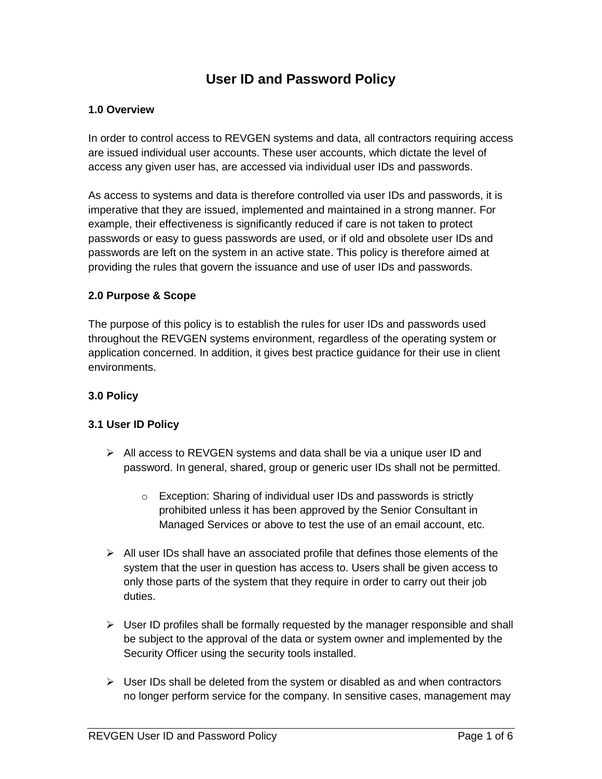# **User ID and Password Policy**

#### **1.0 Overview**

In order to control access to REVGEN systems and data, all contractors requiring access are issued individual user accounts. These user accounts, which dictate the level of access any given user has, are accessed via individual user IDs and passwords.

As access to systems and data is therefore controlled via user IDs and passwords, it is imperative that they are issued, implemented and maintained in a strong manner. For example, their effectiveness is significantly reduced if care is not taken to protect passwords or easy to guess passwords are used, or if old and obsolete user IDs and passwords are left on the system in an active state. This policy is therefore aimed at providing the rules that govern the issuance and use of user IDs and passwords.

#### **2.0 Purpose & Scope**

The purpose of this policy is to establish the rules for user IDs and passwords used throughout the REVGEN systems environment, regardless of the operating system or application concerned. In addition, it gives best practice guidance for their use in client environments.

### **3.0 Policy**

#### **3.1 User ID Policy**

- $\triangleright$  All access to REVGEN systems and data shall be via a unique user ID and password. In general, shared, group or generic user IDs shall not be permitted.
	- o Exception: Sharing of individual user IDs and passwords is strictly prohibited unless it has been approved by the Senior Consultant in Managed Services or above to test the use of an email account, etc.
- $\triangleright$  All user IDs shall have an associated profile that defines those elements of the system that the user in question has access to. Users shall be given access to only those parts of the system that they require in order to carry out their job duties.
- $\triangleright$  User ID profiles shall be formally requested by the manager responsible and shall be subject to the approval of the data or system owner and implemented by the Security Officer using the security tools installed.
- $\triangleright$  User IDs shall be deleted from the system or disabled as and when contractors no longer perform service for the company. In sensitive cases, management may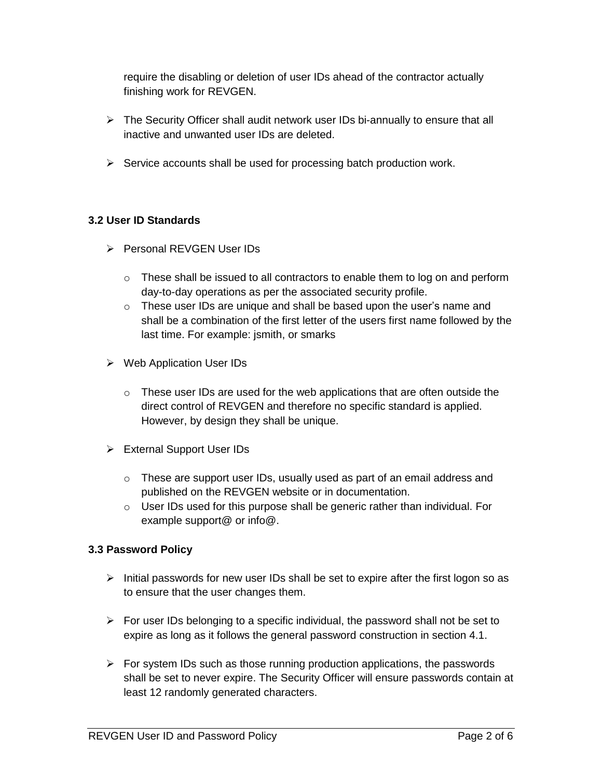require the disabling or deletion of user IDs ahead of the contractor actually finishing work for REVGEN.

- ➢ The Security Officer shall audit network user IDs bi-annually to ensure that all inactive and unwanted user IDs are deleted.
- $\triangleright$  Service accounts shall be used for processing batch production work.

#### **3.2 User ID Standards**

- ➢ Personal REVGEN User IDs
	- o These shall be issued to all contractors to enable them to log on and perform day-to-day operations as per the associated security profile.
	- $\circ$  These user IDs are unique and shall be based upon the user's name and shall be a combination of the first letter of the users first name followed by the last time. For example: jsmith, or smarks
- ➢ Web Application User IDs
	- o These user IDs are used for the web applications that are often outside the direct control of REVGEN and therefore no specific standard is applied. However, by design they shall be unique.
- ➢ External Support User IDs
	- $\circ$  These are support user IDs, usually used as part of an email address and published on the REVGEN website or in documentation.
	- o User IDs used for this purpose shall be generic rather than individual. For example support@ or info@.

## **3.3 Password Policy**

- $\triangleright$  Initial passwords for new user IDs shall be set to expire after the first logon so as to ensure that the user changes them.
- $\triangleright$  For user IDs belonging to a specific individual, the password shall not be set to expire as long as it follows the general password construction in section 4.1.
- $\triangleright$  For system IDs such as those running production applications, the passwords shall be set to never expire. The Security Officer will ensure passwords contain at least 12 randomly generated characters.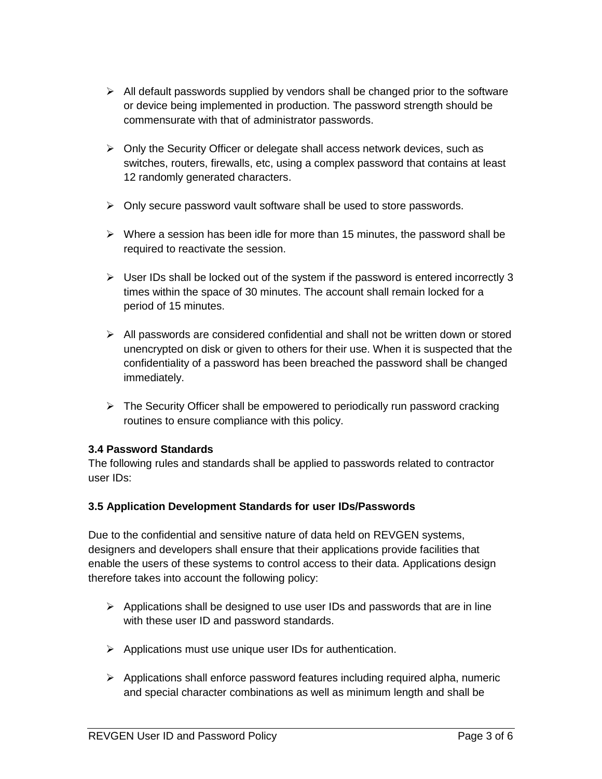- $\triangleright$  All default passwords supplied by vendors shall be changed prior to the software or device being implemented in production. The password strength should be commensurate with that of administrator passwords.
- $\triangleright$  Only the Security Officer or delegate shall access network devices, such as switches, routers, firewalls, etc, using a complex password that contains at least 12 randomly generated characters.
- ➢ Only secure password vault software shall be used to store passwords.
- ➢ Where a session has been idle for more than 15 minutes, the password shall be required to reactivate the session.
- ➢ User IDs shall be locked out of the system if the password is entered incorrectly 3 times within the space of 30 minutes. The account shall remain locked for a period of 15 minutes.
- ➢ All passwords are considered confidential and shall not be written down or stored unencrypted on disk or given to others for their use. When it is suspected that the confidentiality of a password has been breached the password shall be changed immediately.
- ➢ The Security Officer shall be empowered to periodically run password cracking routines to ensure compliance with this policy.

## **3.4 Password Standards**

The following rules and standards shall be applied to passwords related to contractor user IDs:

#### **3.5 Application Development Standards for user IDs/Passwords**

Due to the confidential and sensitive nature of data held on REVGEN systems, designers and developers shall ensure that their applications provide facilities that enable the users of these systems to control access to their data. Applications design therefore takes into account the following policy:

- $\triangleright$  Applications shall be designed to use user IDs and passwords that are in line with these user ID and password standards.
- ➢ Applications must use unique user IDs for authentication.
- $\triangleright$  Applications shall enforce password features including required alpha, numeric and special character combinations as well as minimum length and shall be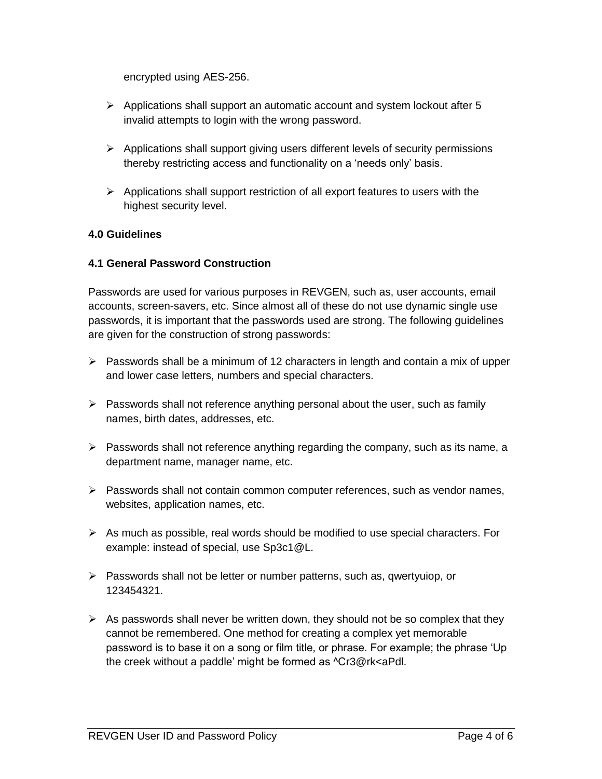encrypted using AES-256.

- $\triangleright$  Applications shall support an automatic account and system lockout after 5 invalid attempts to login with the wrong password.
- $\triangleright$  Applications shall support giving users different levels of security permissions thereby restricting access and functionality on a 'needs only' basis.
- $\triangleright$  Applications shall support restriction of all export features to users with the highest security level.

## **4.0 Guidelines**

#### **4.1 General Password Construction**

Passwords are used for various purposes in REVGEN, such as, user accounts, email accounts, screen-savers, etc. Since almost all of these do not use dynamic single use passwords, it is important that the passwords used are strong. The following guidelines are given for the construction of strong passwords:

- $\triangleright$  Passwords shall be a minimum of 12 characters in length and contain a mix of upper and lower case letters, numbers and special characters.
- $\triangleright$  Passwords shall not reference anything personal about the user, such as family names, birth dates, addresses, etc.
- $\triangleright$  Passwords shall not reference anything regarding the company, such as its name, a department name, manager name, etc.
- ➢ Passwords shall not contain common computer references, such as vendor names, websites, application names, etc.
- ➢ As much as possible, real words should be modified to use special characters. For example: instead of special, use Sp3c1@L.
- ➢ Passwords shall not be letter or number patterns, such as, qwertyuiop, or 123454321.
- $\triangleright$  As passwords shall never be written down, they should not be so complex that they cannot be remembered. One method for creating a complex yet memorable password is to base it on a song or film title, or phrase. For example; the phrase 'Up the creek without a paddle' might be formed as ^Cr3@rk<aPdl.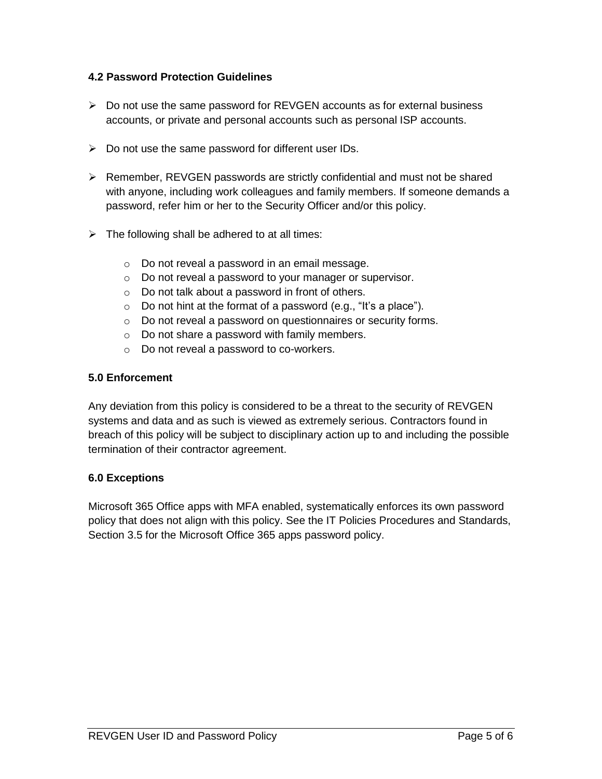#### **4.2 Password Protection Guidelines**

- $\triangleright$  Do not use the same password for REVGEN accounts as for external business accounts, or private and personal accounts such as personal ISP accounts.
- ➢ Do not use the same password for different user IDs.
- ➢ Remember, REVGEN passwords are strictly confidential and must not be shared with anyone, including work colleagues and family members. If someone demands a password, refer him or her to the Security Officer and/or this policy.
- $\triangleright$  The following shall be adhered to at all times:
	- o Do not reveal a password in an email message.
	- o Do not reveal a password to your manager or supervisor.
	- o Do not talk about a password in front of others.
	- $\circ$  Do not hint at the format of a password (e.g., "It's a place").
	- o Do not reveal a password on questionnaires or security forms.
	- o Do not share a password with family members.
	- o Do not reveal a password to co-workers.

#### **5.0 Enforcement**

Any deviation from this policy is considered to be a threat to the security of REVGEN systems and data and as such is viewed as extremely serious. Contractors found in breach of this policy will be subject to disciplinary action up to and including the possible termination of their contractor agreement.

#### **6.0 Exceptions**

Microsoft 365 Office apps with MFA enabled, systematically enforces its own password policy that does not align with this policy. See the IT Policies Procedures and Standards, Section 3.5 for the Microsoft Office 365 apps password policy.